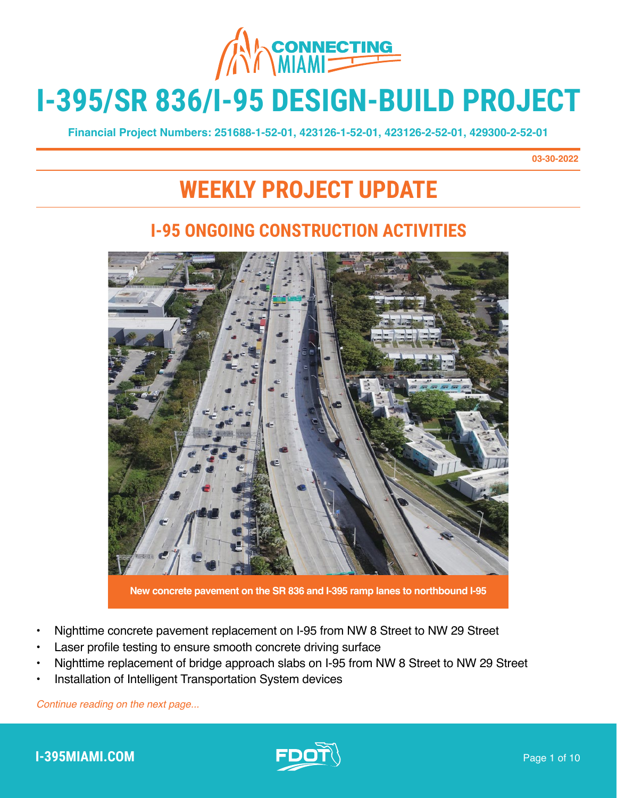

# **I-395/SR 836/I-95 DESIGN-BUILD PROJECT**

**Financial Project Numbers: 251688-1-52-01, 423126-1-52-01, 423126-2-52-01, 429300-2-52-01**

**03-30-2022**

# **WEEKLY PROJECT UPDATE**

#### **I-95 ONGOING CONSTRUCTION ACTIVITIES**

**New concrete pavement on the SR 836 and I-395 ramp lanes to northbound I-95**

- Nighttime concrete pavement replacement on I-95 from NW 8 Street to NW 29 Street
- Laser profile testing to ensure smooth concrete driving surface
- Nighttime replacement of bridge approach slabs on I-95 from NW 8 Street to NW 29 Street
- Installation of Intelligent Transportation System devices

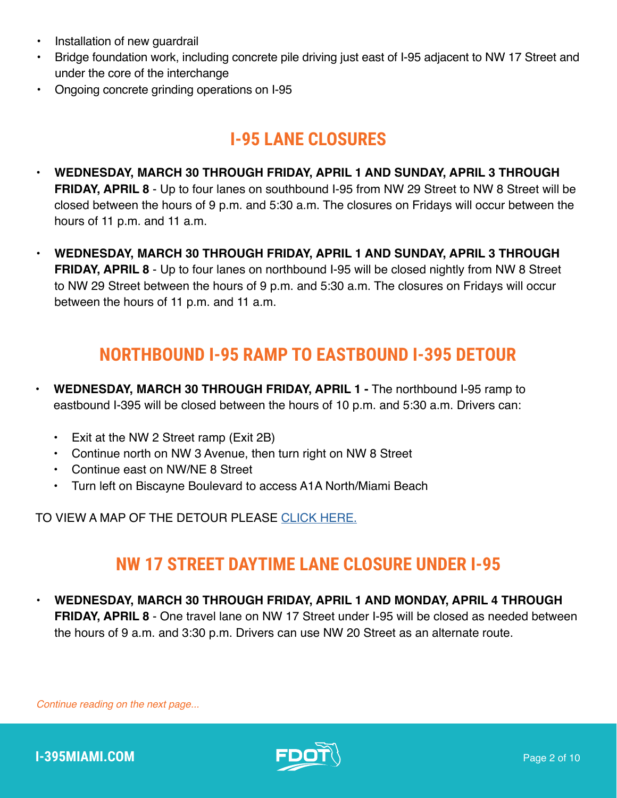- Installation of new quardrail
- Bridge foundation work, including concrete pile driving just east of I-95 adjacent to NW 17 Street and under the core of the interchange
- Ongoing concrete grinding operations on I-95

## **I-95 LANE CLOSURES**

- **• WEDNESDAY, MARCH 30 THROUGH FRIDAY, APRIL 1 AND SUNDAY, APRIL 3 THROUGH FRIDAY, APRIL 8** - Up to four lanes on southbound I-95 from NW 29 Street to NW 8 Street will be closed between the hours of 9 p.m. and 5:30 a.m. The closures on Fridays will occur between the hours of 11 p.m. and 11 a.m.
- **• WEDNESDAY, MARCH 30 THROUGH FRIDAY, APRIL 1 AND SUNDAY, APRIL 3 THROUGH FRIDAY, APRIL 8** - Up to four lanes on northbound I-95 will be closed nightly from NW 8 Street to NW 29 Street between the hours of 9 p.m. and 5:30 a.m. The closures on Fridays will occur between the hours of 11 p.m. and 11 a.m.

#### **NORTHBOUND I-95 RAMP TO EASTBOUND I-395 DETOUR**

- **• WEDNESDAY, MARCH 30 THROUGH FRIDAY, APRIL 1** The northbound I-95 ramp to eastbound I-395 will be closed between the hours of 10 p.m. and 5:30 a.m. Drivers can:
	- Exit at the NW 2 Street ramp (Exit 2B)
	- Continue north on NW 3 Avenue, then turn right on NW 8 Street
	- Continue east on NW/NE 8 Street
	- Turn left on Biscayne Boulevard to access A1A North/Miami Beach

TO VIEW A MAP OF THE DETOUR PLEASE [CLICK HERE.](https://www.i395-miami.com/alerts/details/Alert-395-95NB-06142019.pdf)

#### **NW 17 STREET DAYTIME LANE CLOSURE UNDER I-95**

**• WEDNESDAY, MARCH 30 THROUGH FRIDAY, APRIL 1 AND MONDAY, APRIL 4 THROUGH FRIDAY, APRIL 8** - One travel lane on NW 17 Street under I-95 will be closed as needed between the hours of 9 a.m. and 3:30 p.m. Drivers can use NW 20 Street as an alternate route.

*Continue reading on the next page...*



**I-395MIAMI.COM Page 2 of 10**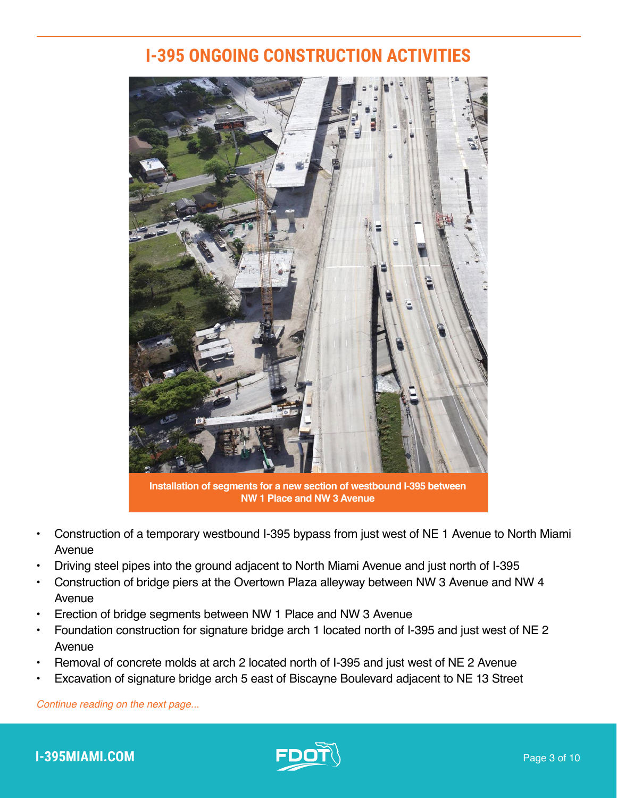#### **I-395 ONGOING CONSTRUCTION ACTIVITIES**



**Installation of segments for a new section of westbound I-395 between NW 1 Place and NW 3 Avenue**

- Construction of a temporary westbound I-395 bypass from just west of NE 1 Avenue to North Miami Avenue
- Driving steel pipes into the ground adjacent to North Miami Avenue and just north of I-395
- Construction of bridge piers at the Overtown Plaza alleyway between NW 3 Avenue and NW 4 Avenue
- Erection of bridge segments between NW 1 Place and NW 3 Avenue
- Foundation construction for signature bridge arch 1 located north of I-395 and just west of NE 2 Avenue
- Removal of concrete molds at arch 2 located north of I-395 and just west of NE 2 Avenue
- Excavation of signature bridge arch 5 east of Biscayne Boulevard adjacent to NE 13 Street

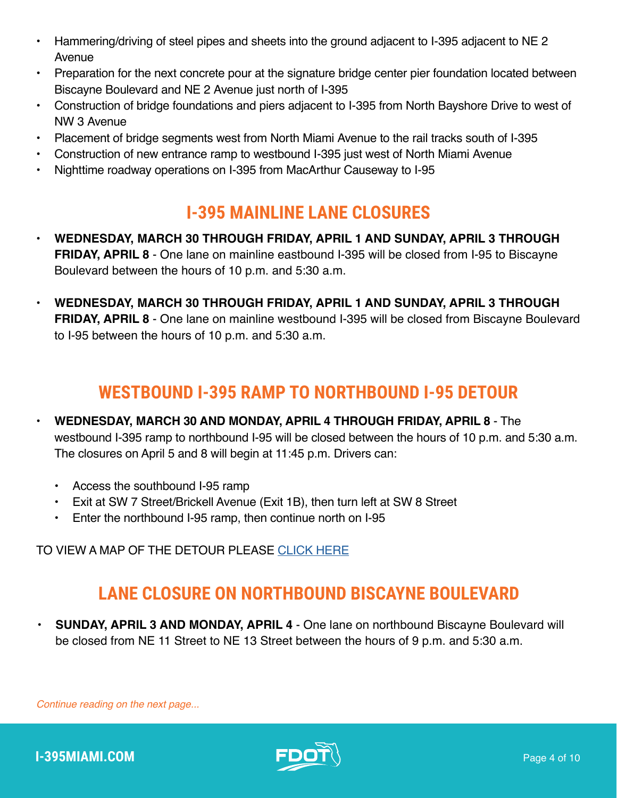- Hammering/driving of steel pipes and sheets into the ground adjacent to I-395 adjacent to NE 2 Avenue
- Preparation for the next concrete pour at the signature bridge center pier foundation located between Biscayne Boulevard and NE 2 Avenue just north of I-395
- Construction of bridge foundations and piers adjacent to I-395 from North Bayshore Drive to west of NW 3 Avenue
- Placement of bridge segments west from North Miami Avenue to the rail tracks south of I-395
- Construction of new entrance ramp to westbound I-395 just west of North Miami Avenue
- Nighttime roadway operations on I-395 from MacArthur Causeway to I-95

#### **I-395 MAINLINE LANE CLOSURES**

- **• WEDNESDAY, MARCH 30 THROUGH FRIDAY, APRIL 1 AND SUNDAY, APRIL 3 THROUGH FRIDAY, APRIL 8** - One lane on mainline eastbound I-395 will be closed from I-95 to Biscayne Boulevard between the hours of 10 p.m. and 5:30 a.m.
- **• WEDNESDAY, MARCH 30 THROUGH FRIDAY, APRIL 1 AND SUNDAY, APRIL 3 THROUGH FRIDAY, APRIL 8** - One lane on mainline westbound I-395 will be closed from Biscayne Boulevard to I-95 between the hours of 10 p.m. and 5:30 a.m.

### **WESTBOUND I-395 RAMP TO NORTHBOUND I-95 DETOUR**

- **• WEDNESDAY, MARCH 30 AND MONDAY, APRIL 4 THROUGH FRIDAY, APRIL 8** The westbound I-395 ramp to northbound I-95 will be closed between the hours of 10 p.m. and 5:30 a.m. The closures on April 5 and 8 will begin at 11:45 p.m. Drivers can:
	- Access the southbound I-95 ramp
	- Exit at SW 7 Street/Brickell Avenue (Exit 1B), then turn left at SW 8 Street
	- Enter the northbound I-95 ramp, then continue north on I-95

TO VIEW A MAP OF THE DETOUR PLEASE [CLICK HERE](https://i395-miami.com/alerts/details/Alert-395-WB395NB95-Map.pdf)

#### **LANE CLOSURE ON NORTHBOUND BISCAYNE BOULEVARD**

**• SUNDAY, APRIL 3 AND MONDAY, APRIL 4** - One lane on northbound Biscayne Boulevard will be closed from NE 11 Street to NE 13 Street between the hours of 9 p.m. and 5:30 a.m.

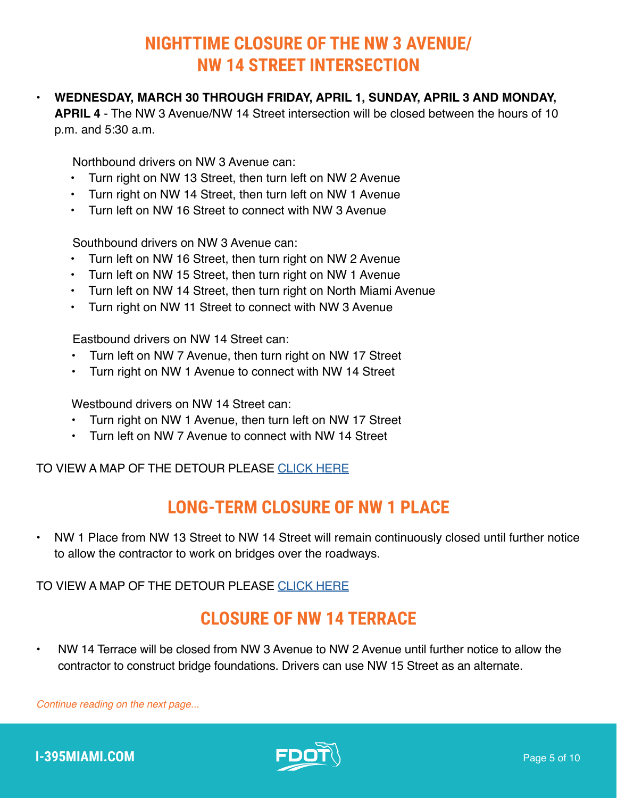#### **NIGHTTIME CLOSURE OF THE NW 3 AVENUE/ NW 14 STREET INTERSECTION**

#### **• WEDNESDAY, MARCH 30 THROUGH FRIDAY, APRIL 1, SUNDAY, APRIL 3 AND MONDAY,**

**APRIL 4** - The NW 3 Avenue/NW 14 Street intersection will be closed between the hours of 10 p.m. and 5:30 a.m.

Northbound drivers on NW 3 Avenue can:

- Turn right on NW 13 Street, then turn left on NW 2 Avenue
- Turn right on NW 14 Street, then turn left on NW 1 Avenue
- Turn left on NW 16 Street to connect with NW 3 Avenue

Southbound drivers on NW 3 Avenue can:

- Turn left on NW 16 Street, then turn right on NW 2 Avenue
- Turn left on NW 15 Street, then turn right on NW 1 Avenue
- Turn left on NW 14 Street, then turn right on North Miami Avenue
- Turn right on NW 11 Street to connect with NW 3 Avenue

Eastbound drivers on NW 14 Street can:

- Turn left on NW 7 Avenue, then turn right on NW 17 Street
- Turn right on NW 1 Avenue to connect with NW 14 Street

Westbound drivers on NW 14 Street can:

- Turn right on NW 1 Avenue, then turn left on NW 17 Street
- Turn left on NW 7 Avenue to connect with NW 14 Street

TO VIEW A MAP OF THE DETOUR PLEASE [CLICK HERE](https://i395-miami.com/alerts/details/NW3AVE-NW14ST-CLOSURE.pdf)

#### **LONG-TERM CLOSURE OF NW 1 PLACE**

• NW 1 Place from NW 13 Street to NW 14 Street will remain continuously closed until further notice to allow the contractor to work on bridges over the roadways.

TO VIEW A MAP OF THE DETOUR PLEASE [CLICK HERE](https://www.i395-miami.com/alerts/details/NW1PLACE-SegDetour.pdf)

#### **CLOSURE OF NW 14 TERRACE**

• NW 14 Terrace will be closed from NW 3 Avenue to NW 2 Avenue until further notice to allow the contractor to construct bridge foundations. Drivers can use NW 15 Street as an alternate.

*Continue reading on the next page...*



**I-395MIAMI.COM Page 5 of 10**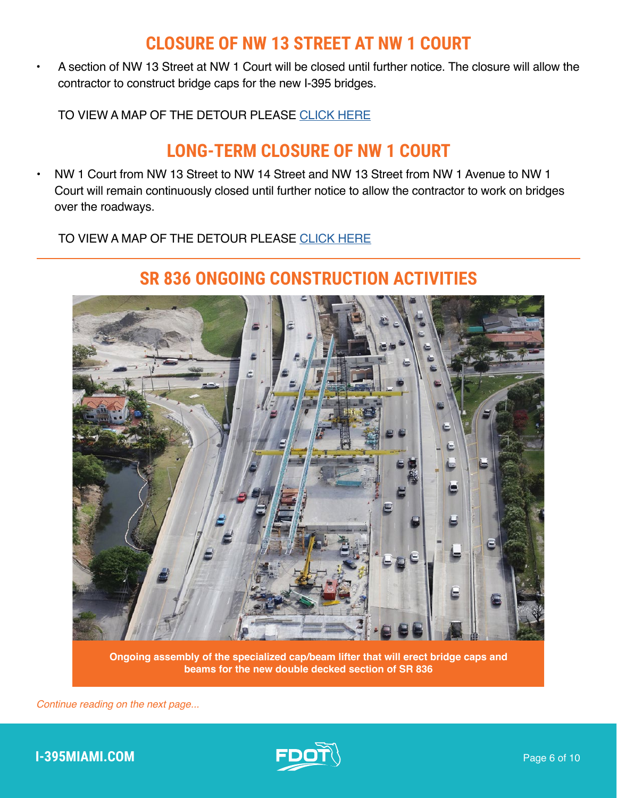#### **CLOSURE OF NW 13 STREET AT NW 1 COURT**

• A section of NW 13 Street at NW 1 Court will be closed until further notice. The closure will allow the contractor to construct bridge caps for the new I-395 bridges.

TO VIEW A MAP OF THE DETOUR PLEASE [CLICK HERE](https://i395-miami.com/alerts/details/Alert-395-NW1CT13ST-Map.pdf)

#### **LONG-TERM CLOSURE OF NW 1 COURT**

• NW 1 Court from NW 13 Street to NW 14 Street and NW 13 Street from NW 1 Avenue to NW 1 Court will remain continuously closed until further notice to allow the contractor to work on bridges over the roadways.

TO VIEW A MAP OF THE DETOUR PLEASE [CLICK HERE](https://i395-miami.com/alerts/details/Alert-395-NW1CT13ST-Map.pdf)



#### **SR 836 ONGOING CONSTRUCTION ACTIVITIES**

**Ongoing assembly of the specialized cap/beam lifter that will erect bridge caps and beams for the new double decked section of SR 836**

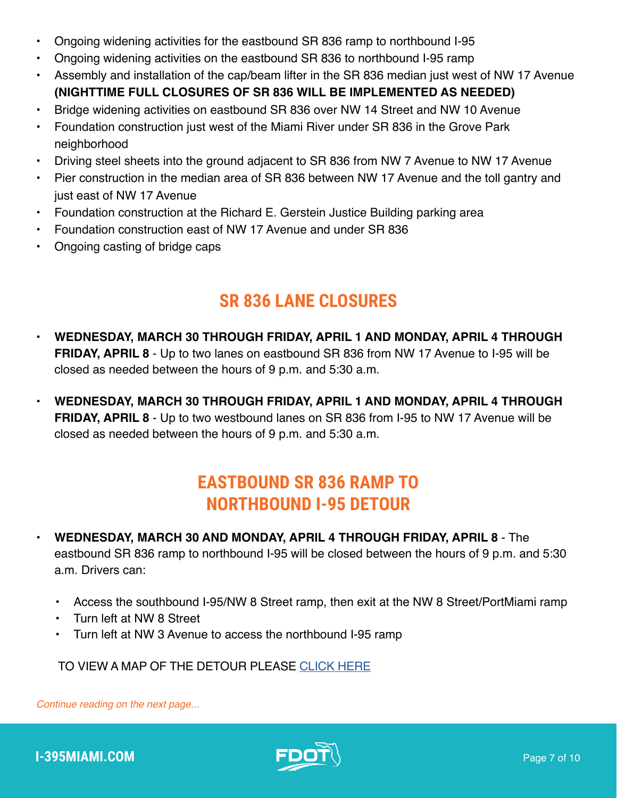- Ongoing widening activities for the eastbound SR 836 ramp to northbound I-95
- Ongoing widening activities on the eastbound SR 836 to northbound I-95 ramp
- Assembly and installation of the cap/beam lifter in the SR 836 median just west of NW 17 Avenue **(NIGHTTIME FULL CLOSURES OF SR 836 WILL BE IMPLEMENTED AS NEEDED)**
- Bridge widening activities on eastbound SR 836 over NW 14 Street and NW 10 Avenue
- Foundation construction just west of the Miami River under SR 836 in the Grove Park neighborhood
- Driving steel sheets into the ground adjacent to SR 836 from NW 7 Avenue to NW 17 Avenue
- Pier construction in the median area of SR 836 between NW 17 Avenue and the toll gantry and just east of NW 17 Avenue
- Foundation construction at the Richard E. Gerstein Justice Building parking area
- Foundation construction east of NW 17 Avenue and under SR 836
- Ongoing casting of bridge caps

### **SR 836 LANE CLOSURES**

- **• WEDNESDAY, MARCH 30 THROUGH FRIDAY, APRIL 1 AND MONDAY, APRIL 4 THROUGH FRIDAY, APRIL 8** - Up to two lanes on eastbound SR 836 from NW 17 Avenue to I-95 will be closed as needed between the hours of 9 p.m. and 5:30 a.m.
- **• WEDNESDAY, MARCH 30 THROUGH FRIDAY, APRIL 1 AND MONDAY, APRIL 4 THROUGH FRIDAY, APRIL 8** - Up to two westbound lanes on SR 836 from I-95 to NW 17 Avenue will be closed as needed between the hours of 9 p.m. and 5:30 a.m.

### **EASTBOUND SR 836 RAMP TO NORTHBOUND I-95 DETOUR**

- **• WEDNESDAY, MARCH 30 AND MONDAY, APRIL 4 THROUGH FRIDAY, APRIL 8** The eastbound SR 836 ramp to northbound I-95 will be closed between the hours of 9 p.m. and 5:30 a.m. Drivers can:
	- Access the southbound I-95/NW 8 Street ramp, then exit at the NW 8 Street/PortMiami ramp
	- Turn left at NW 8 Street
	- Turn left at NW 3 Avenue to access the northbound I-95 ramp

TO VIEW A MAP OF THE DETOUR PLEASE [CLICK HERE](https://i395-miami.com/alerts/details/Alert-395-EB836-NB95-Map.pdf)

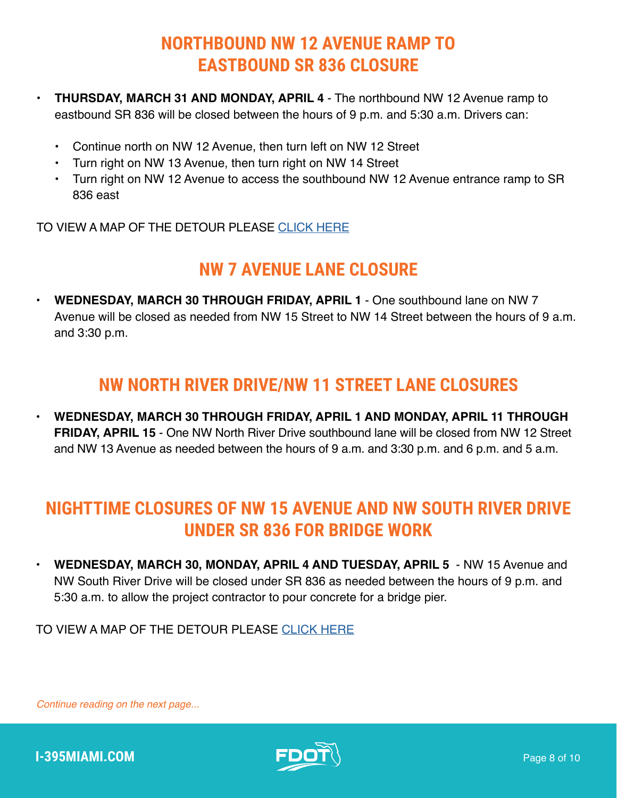#### **NORTHBOUND NW 12 AVENUE RAMP TO EASTBOUND SR 836 CLOSURE**

- **• THURSDAY, MARCH 31 AND MONDAY, APRIL 4** The northbound NW 12 Avenue ramp to eastbound SR 836 will be closed between the hours of 9 p.m. and 5:30 a.m. Drivers can:
	- Continue north on NW 12 Avenue, then turn left on NW 12 Street
	- Turn right on NW 13 Avenue, then turn right on NW 14 Street
	- Turn right on NW 12 Avenue to access the southbound NW 12 Avenue entrance ramp to SR 836 east

TO VIEW A MAP OF THE DETOUR PLEASE [CLICK HERE](https://www.i395-miami.com/alerts/details/Alert-395-NB12EB836-Map.pdf)

### **NW 7 AVENUE LANE CLOSURE**

**• WEDNESDAY, MARCH 30 THROUGH FRIDAY, APRIL 1** - One southbound lane on NW 7 Avenue will be closed as needed from NW 15 Street to NW 14 Street between the hours of 9 a.m. and 3:30 p.m.

#### **NW NORTH RIVER DRIVE/NW 11 STREET LANE CLOSURES**

**• WEDNESDAY, MARCH 30 THROUGH FRIDAY, APRIL 1 AND MONDAY, APRIL 11 THROUGH FRIDAY, APRIL 15** - One NW North River Drive southbound lane will be closed from NW 12 Street and NW 13 Avenue as needed between the hours of 9 a.m. and 3:30 p.m. and 6 p.m. and 5 a.m.

#### **NIGHTTIME CLOSURES OF NW 15 AVENUE AND NW SOUTH RIVER DRIVE UNDER SR 836 FOR BRIDGE WORK**

**• WEDNESDAY, MARCH 30, MONDAY, APRIL 4 AND TUESDAY, APRIL 5** - NW 15 Avenue and NW South River Drive will be closed under SR 836 as needed between the hours of 9 p.m. and 5:30 a.m. to allow the project contractor to pour concrete for a bridge pier.

TO VIEW A MAP OF THE DETOUR PLEASE [CLICK HERE](https://i395-miami.com/alerts/details/Alert-395-15AVESRIVER-Map.pdf)

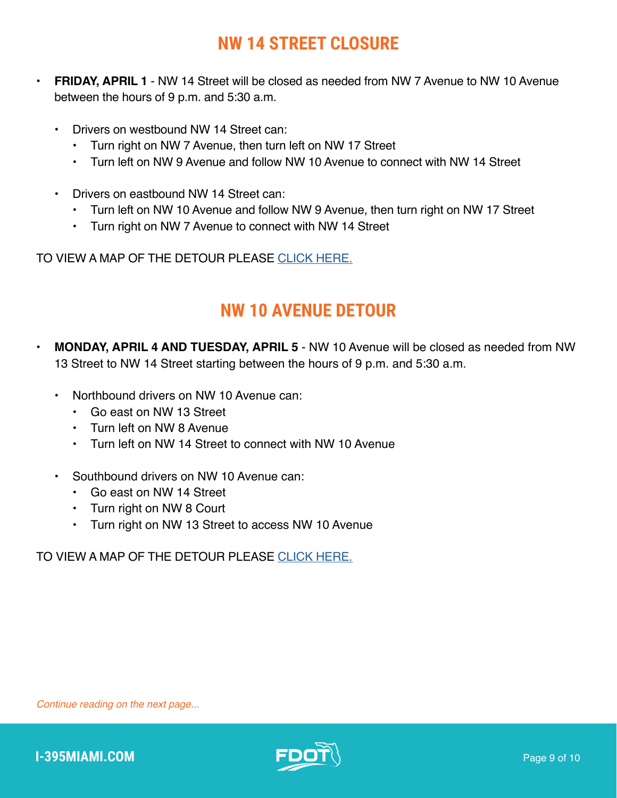### **NW 14 STREET CLOSURE**

- **• FRIDAY, APRIL 1** NW 14 Street will be closed as needed from NW 7 Avenue to NW 10 Avenue between the hours of 9 p.m. and 5:30 a.m.
	- Drivers on westbound NW 14 Street can:
		- Turn right on NW 7 Avenue, then turn left on NW 17 Street
		- Turn left on NW 9 Avenue and follow NW 10 Avenue to connect with NW 14 Street
	- Drivers on eastbound NW 14 Street can:
		- Turn left on NW 10 Avenue and follow NW 9 Avenue, then turn right on NW 17 Street
		- Turn right on NW 7 Avenue to connect with NW 14 Street

TO VIEW A MAP OF THE DETOUR PLEASE [CLICK HERE.](https://i395-miami.com/alerts/details/Alert-395-NW14St-Detour-at-7ave-Map.pdf)

#### **NW 10 AVENUE DETOUR**

- **• MONDAY, APRIL 4 AND TUESDAY, APRIL 5** NW 10 Avenue will be closed as needed from NW 13 Street to NW 14 Street starting between the hours of 9 p.m. and 5:30 a.m.
	- Northbound drivers on NW 10 Avenue can:
		- Go east on NW 13 Street
		- Turn left on NW 8 Avenue
		- Turn left on NW 14 Street to connect with NW 10 Avenue
	- Southbound drivers on NW 10 Avenue can:
		- Go east on NW 14 Street
		- Turn right on NW 8 Court
		- Turn right on NW 13 Street to access NW 10 Avenue

TO VIEW A MAP OF THE DETOUR PLEASE [CLICK HERE.](https://i395-miami.com/alerts/details/Alert-395-NW10-Map.pdf)